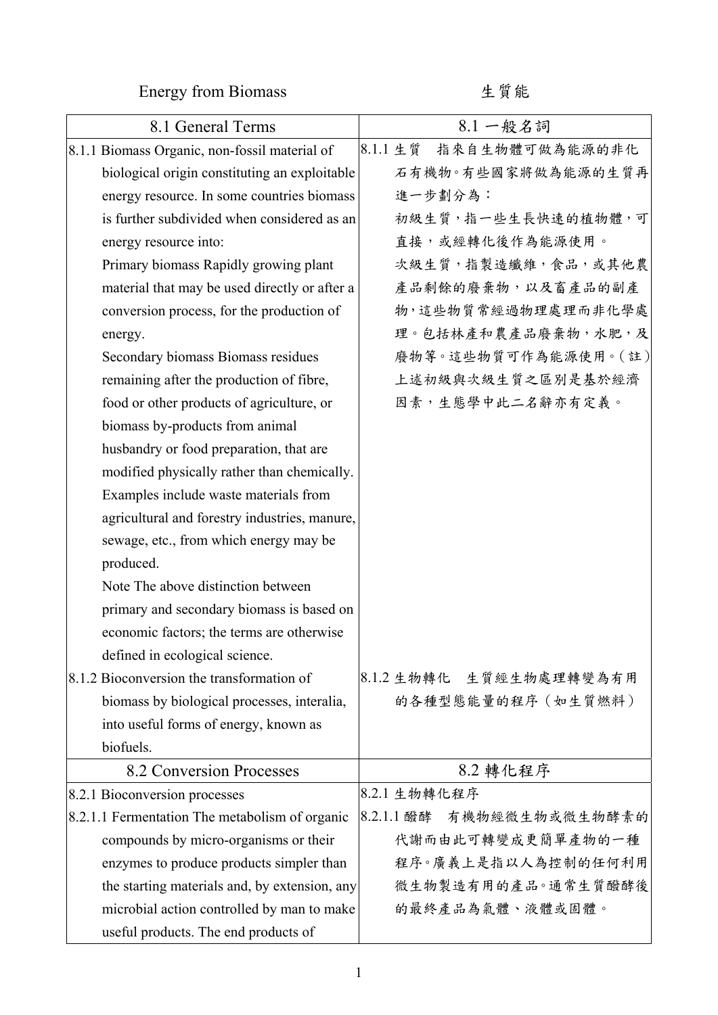Energy from Biomass 生質能

| 8.1 General Terms                              | 8.1 一般名詞                     |
|------------------------------------------------|------------------------------|
| 8.1.1 Biomass Organic, non-fossil material of  | 指來自生物體可做為能源的非化<br>8.1.1 生質   |
| biological origin constituting an exploitable  | 石有機物。有些國家將做為能源的生質再           |
| energy resource. In some countries biomass     | 進一步劃分為:                      |
| is further subdivided when considered as an    | 初級生質,指一些生長快速的植物體,可           |
| energy resource into:                          | 直接,或經轉化後作為能源使用。              |
| Primary biomass Rapidly growing plant          | 次級生質,指製造纖維,食品,或其他農           |
| material that may be used directly or after a  | 產品剩餘的廢棄物,以及畜產品的副產            |
| conversion process, for the production of      | 物,這些物質常經過物理處理而非化學處           |
| energy.                                        | 理。包括林產和農產品廢棄物,水肥,及           |
| Secondary biomass Biomass residues             | 廢物等。這些物質可作為能源使用。(註)          |
| remaining after the production of fibre,       | 上述初級與次級生質之區別是基於經濟            |
| food or other products of agriculture, or      | 因素,生態學中此二名辭亦有定義。             |
| biomass by-products from animal                |                              |
| husbandry or food preparation, that are        |                              |
| modified physically rather than chemically.    |                              |
| Examples include waste materials from          |                              |
| agricultural and forestry industries, manure,  |                              |
| sewage, etc., from which energy may be         |                              |
| produced.                                      |                              |
| Note The above distinction between             |                              |
| primary and secondary biomass is based on      |                              |
| economic factors; the terms are otherwise      |                              |
| defined in ecological science.                 |                              |
| 8.1.2 Bioconversion the transformation of      | 8.1.2 生物轉化 生質經生物處理轉變為有用      |
| biomass by biological processes, interalia,    | 的各種型態能量的程序 (如生質燃料)           |
| into useful forms of energy, known as          |                              |
| biofuels.                                      |                              |
| 8.2 Conversion Processes                       | 8.2 轉化程序                     |
| 8.2.1 Bioconversion processes                  | 8.2.1 生物轉化程序                 |
| 8.2.1.1 Fermentation The metabolism of organic | 8.2.1.1 醱酵<br>有機物經微生物或微生物酵素的 |
| compounds by micro-organisms or their          | 代謝而由此可轉變成更簡單產物的一種            |
| enzymes to produce products simpler than       | 程序。廣義上是指以人為控制的任何利用           |
| the starting materials and, by extension, any  | 微生物製造有用的產品。通常生質醱酵後           |
| microbial action controlled by man to make     | 的最終產品為氣體、液體或固體。              |
| useful products. The end products of           |                              |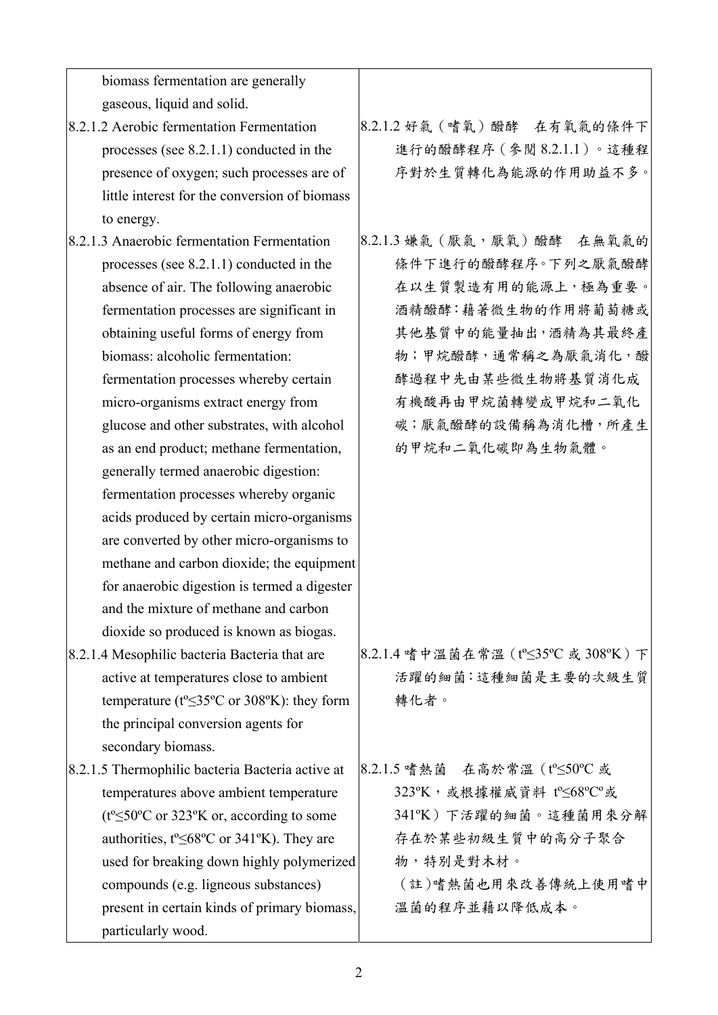biomass fermentation are generally gaseous, liquid and solid.

- 8.2.1.2 Aerobic fermentation Fermentation processes (see 8.2.1.1) conducted in the presence of oxygen; such processes are of little interest for the conversion of biomass to energy.
- 8.2.1.3 Anaerobic fermentation Fermentation processes (see 8.2.1.1) conducted in the absence of air. The following anaerobic fermentation processes are significant in obtaining useful forms of energy from biomass: alcoholic fermentation: fermentation processes whereby certain micro-organisms extract energy from glucose and other substrates, with alcohol as an end product; methane fermentation, generally termed anaerobic digestion: fermentation processes whereby organic acids produced by certain micro-organisms are converted by other micro-organisms to methane and carbon dioxide; the equipment for anaerobic digestion is termed a digester and the mixture of methane and carbon dioxide so produced is known as biogas.
- 8.2.1.4 Mesophilic bacteria Bacteria that are active at temperatures close to ambient temperature ( $t^{\circ} \leq 35^{\circ}$ C or 308°K): they form the principal conversion agents for secondary biomass.
- 8.2.1.5 Thermophilic bacteria Bacteria active at temperatures above ambient temperature (tº≤50ºC or 323ºK or, according to some authorities, tº≤68ºC or 341ºK). They are used for breaking down highly polymerized compounds (e.g. ligneous substances) present in certain kinds of primary biomass, particularly wood.

8.2.1.2 好氣(嗜氧)醱酵 在有氧氣的條件下 進行的醱酵程序(參閱 8.2.1.1)。這種程 序對於生質轉化為能源的作用助益不多。

8.2.1.3 嫌氣 (厭氣,厭氧)醱酵 在無氧氣的 條件下進行的醱酵程序。下列之厭氣醱酵 在以生質製造有用的能源上,極為重要。 酒精醱酵:藉著微生物的作用將葡萄糖或 其他基質中的能量抽出,酒精為其最終產 物;甲烷醱酵,通常稱之為厭氣消化,醱 酵過程中先由某些微生物將基質消化成 有機酸再由甲烷菌轉變成甲烷和二氧化 碳;厭氣醱酵的設備稱為消化槽,所產生 的甲烷和二氧化碳即為生物氣體。

8.2.1.4 嗜中溫菌在常溫(tº≤35ºC 或 308ºK)下 活躍的細菌:這種細菌是主要的次級生質 轉化者。

8.2.1.5 嗜熱菌 在高於常溫(tº≤50ºC 或 323ºK,或根據權威資料 tº≤68ºCº或 341ºK)下活躍的細菌。這種菌用來分解 存在於某些初級生質中的高分子聚合 物,特別是對木材。 (註)嗜熱菌也用來改善傳統上使用嗜中 溫菌的程序並藉以降低成本。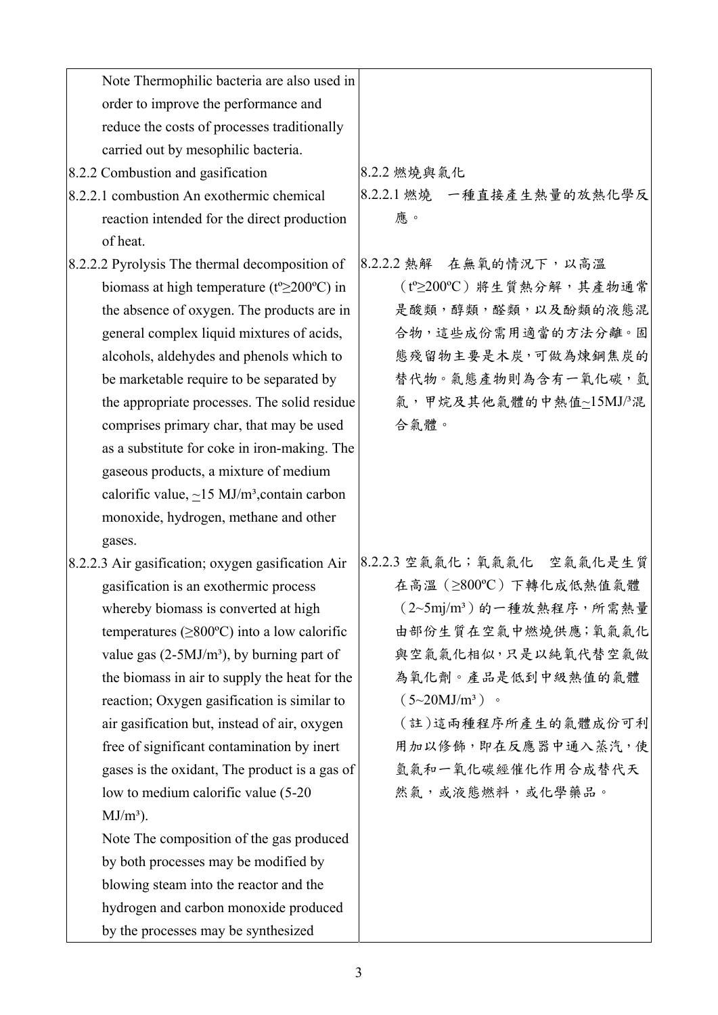| Note Thermophilic bacteria are also used in                     |                           |
|-----------------------------------------------------------------|---------------------------|
| order to improve the performance and                            |                           |
| reduce the costs of processes traditionally                     |                           |
| carried out by mesophilic bacteria.                             |                           |
| 8.2.2 Combustion and gasification                               | 8.2.2 燃燒與氣化               |
| 8.2.2.1 combustion An exothermic chemical                       | 8.2.2.1 燃燒 一種直接產生熱量的放熱化學反 |
| reaction intended for the direct production                     | 應。                        |
| of heat.                                                        |                           |
| 8.2.2.2 Pyrolysis The thermal decomposition of                  | 8.2.2.2 熱解 在無氧的情況下,以高溫    |
| biomass at high temperature ( $t^{\circ} \ge 200^{\circ}$ C) in | (t°≥200°C)將生質熱分解,其產物通常    |
| the absence of oxygen. The products are in                      | 是酸類,醇類,醛類,以及酚類的液態混        |
| general complex liquid mixtures of acids,                       | 合物,這些成份需用適當的方法分離。固        |
| alcohols, aldehydes and phenols which to                        | 態殘留物主要是木炭,可做為煉鋼焦炭的        |
| be marketable require to be separated by                        | 替代物。氣態產物則為含有一氧化碳,氫        |
| the appropriate processes. The solid residue                    | 氣,甲烷及其他氣體的中熱值~15MJ/3混     |
| comprises primary char, that may be used                        | 合氣體。                      |
| as a substitute for coke in iron-making. The                    |                           |
| gaseous products, a mixture of medium                           |                           |
| calorific value, $\sim$ 15 MJ/m <sup>3</sup> , contain carbon   |                           |
| monoxide, hydrogen, methane and other                           |                           |
| gases.                                                          |                           |
| 8.2.2.3 Air gasification; oxygen gasification Air               | 8.2.2.3 空氣氣化;氧氣氣化 空氣氣化是生質 |
| gasification is an exothermic process                           | 在高溫 (≥800℃) 下轉化成低熱值氣體     |
| whereby biomass is converted at high                            | $(2$ ~5mj/m3)的一種放熱程序,所需熱量 |
| temperatures ( $\geq 800^{\circ}$ C) into a low calorific       | 由部份生質在空氣中燃燒供應;氧氣氣化        |
| value gas $(2-5MJ/m^3)$ , by burning part of                    | 與空氣氣化相似,只是以純氧代替空氣做        |
| the biomass in air to supply the heat for the                   | 為氧化劑。產品是低到中級熱值的氣體         |
| reaction; Oxygen gasification is similar to                     | $(5\sim20 MJ/m^3)$ .      |
| air gasification but, instead of air, oxygen                    | (註)這兩種程序所產生的氣體成份可利        |
| free of significant contamination by inert                      | 用加以修飾,即在反應器中通入蒸汽,使        |
| gases is the oxidant. The product is a gas of                   | 氫氣和一氧化碳經催化作用合成替代天         |
| low to medium calorific value (5-20)                            | 然氣,或液態燃料,或化學藥品。           |
| $MJ/m^3$ ).                                                     |                           |
| Note The composition of the gas produced                        |                           |
| by both processes may be modified by                            |                           |
| blowing steam into the reactor and the                          |                           |
| hydrogen and carbon monoxide produced                           |                           |
| by the processes may be synthesized                             |                           |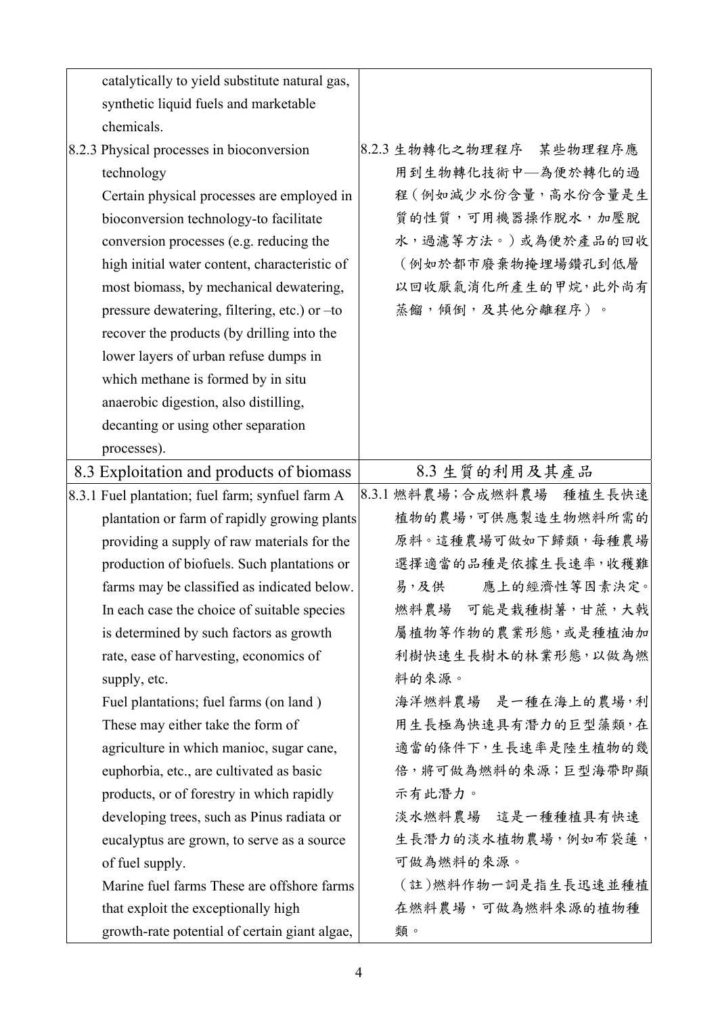| catalytically to yield substitute natural gas,   |                             |
|--------------------------------------------------|-----------------------------|
| synthetic liquid fuels and marketable            |                             |
| chemicals.                                       |                             |
| 8.2.3 Physical processes in bioconversion        | 8.2.3 生物轉化之物理程序 某些物理程序應     |
| technology                                       | 用到生物轉化技術中–為便於轉化的過           |
| Certain physical processes are employed in       | 程(例如減少水份含量,高水份含量是生          |
| bioconversion technology-to facilitate           | 質的性質,可用機器操作脫水,加壓脫           |
| conversion processes (e.g. reducing the          | 水,過濾等方法。)或為便於產品的回收          |
| high initial water content, characteristic of    | (例如於都市廢棄物掩埋場鑽孔到低層           |
| most biomass, by mechanical dewatering,          | 以回收厭氣消化所產生的甲烷,此外尚有          |
| pressure dewatering, filtering, etc.) or -to     | 蒸餾,傾倒,及其他分離程序)。             |
| recover the products (by drilling into the       |                             |
| lower layers of urban refuse dumps in            |                             |
| which methane is formed by in situ               |                             |
| anaerobic digestion, also distilling,            |                             |
| decanting or using other separation              |                             |
| processes).                                      |                             |
| 8.3 Exploitation and products of biomass         | 8.3 生質的利用及其產品               |
| 8.3.1 Fuel plantation; fuel farm; synfuel farm A | 8.3.1 燃料農場;合成燃料農場<br>種植生長快速 |
| plantation or farm of rapidly growing plants     | 植物的農場,可供應製造生物燃料所需的          |
| providing a supply of raw materials for the      | 原料。這種農場可做如下歸類,每種農場          |
| production of biofuels. Such plantations or      | 選擇適當的品種是依據生長速率,收穫難          |
| farms may be classified as indicated below.      | 應上的經濟性等因素決定。<br>易,及供        |
| In each case the choice of suitable species      | 燃料農場 可能是栽種樹薯,甘蔗,大戟          |
| is determined by such factors as growth          | 屬植物等作物的農業形態,或是種植油加          |
| rate, ease of harvesting, economics of           | 利樹快速生長樹木的林業形態,以做為燃          |
| supply, etc.                                     | 料的來源。                       |
| Fuel plantations; fuel farms (on land)           | 海洋燃料農場 是一種在海上的農場,利          |
| These may either take the form of                | 用生長極為快速具有潛力的巨型藻類,在          |
| agriculture in which manioc, sugar cane,         | 適當的條件下,生長速率是陸生植物的幾          |
| euphorbia, etc., are cultivated as basic         | 倍,將可做為燃料的來源;巨型海帶即顯          |
| products, or of forestry in which rapidly        | 示有此潛力。                      |
| developing trees, such as Pinus radiata or       | 淡水燃料农场 這是一種種植具有快速           |
| eucalyptus are grown, to serve as a source       | 生長潛力的淡水植物農場,例如布袋蓮,          |
| of fuel supply.                                  | 可做為燃料的來源。                   |
| Marine fuel farms These are offshore farms       | (註)燃料作物一詞是指生長迅速並種植          |
| that exploit the exceptionally high              | 在燃料農場,可做為燃料來源的植物種           |
| growth-rate potential of certain giant algae,    | 類。                          |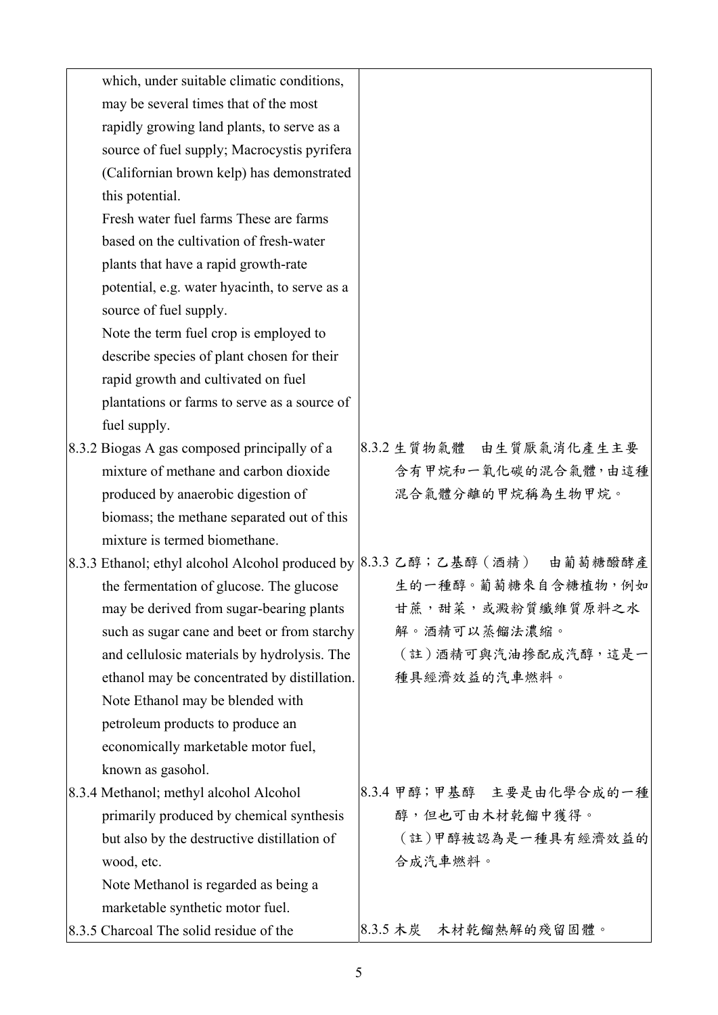| which, under suitable climatic conditions,    |                                                                             |
|-----------------------------------------------|-----------------------------------------------------------------------------|
| may be several times that of the most         |                                                                             |
| rapidly growing land plants, to serve as a    |                                                                             |
| source of fuel supply; Macrocystis pyrifera   |                                                                             |
| (Californian brown kelp) has demonstrated     |                                                                             |
| this potential.                               |                                                                             |
| Fresh water fuel farms These are farms        |                                                                             |
| based on the cultivation of fresh-water       |                                                                             |
| plants that have a rapid growth-rate          |                                                                             |
| potential, e.g. water hyacinth, to serve as a |                                                                             |
| source of fuel supply.                        |                                                                             |
| Note the term fuel crop is employed to        |                                                                             |
| describe species of plant chosen for their    |                                                                             |
| rapid growth and cultivated on fuel           |                                                                             |
| plantations or farms to serve as a source of  |                                                                             |
| fuel supply.                                  |                                                                             |
| 8.3.2 Biogas A gas composed principally of a  | 8.3.2 生質物氣體 由生質厭氣消化產生主要                                                     |
| mixture of methane and carbon dioxide         | 含有甲烷和一氧化碳的混合氣體,由這種                                                          |
| produced by anaerobic digestion of            | 混合氣體分離的甲烷稱為生物甲烷。                                                            |
| biomass; the methane separated out of this    |                                                                             |
| mixture is termed biomethane.                 |                                                                             |
|                                               | 8.3.3 Ethanol; ethyl alcohol Alcohol produced by  8.3.3 乙醇;乙基醇 (酒精) 由葡萄糖醱酵產 |
| the fermentation of glucose. The glucose      | 生的一種醇。葡萄糖來自含糖植物,例如                                                          |
| may be derived from sugar-bearing plants      | 甘蔗,甜菜,或澱粉質纖維質原料之水                                                           |
| such as sugar cane and beet or from starchy   | 解。酒精可以蒸餾法濃縮。                                                                |
| and cellulosic materials by hydrolysis. The   | (註)酒精可與汽油摻配成汽醇,這是一                                                          |
| ethanol may be concentrated by distillation.  | 種具經濟效益的汽車燃料。                                                                |
| Note Ethanol may be blended with              |                                                                             |
| petroleum products to produce an              |                                                                             |
| economically marketable motor fuel,           |                                                                             |
| known as gasohol.                             |                                                                             |
| 8.3.4 Methanol; methyl alcohol Alcohol        | 8.3.4 甲醇;甲基醇 主要是由化學合成的一種                                                    |
| primarily produced by chemical synthesis      | 醇,但也可由木材乾餾中獲得。                                                              |
| but also by the destructive distillation of   | (註)甲醇被認為是一種具有經濟效益的                                                          |
| wood, etc.                                    | 合成汽車燃料。                                                                     |
| Note Methanol is regarded as being a          |                                                                             |
| marketable synthetic motor fuel.              |                                                                             |
| 8.3.5 Charcoal The solid residue of the       | 8.3.5 木炭 木材乾餾熱解的殘留固體。                                                       |